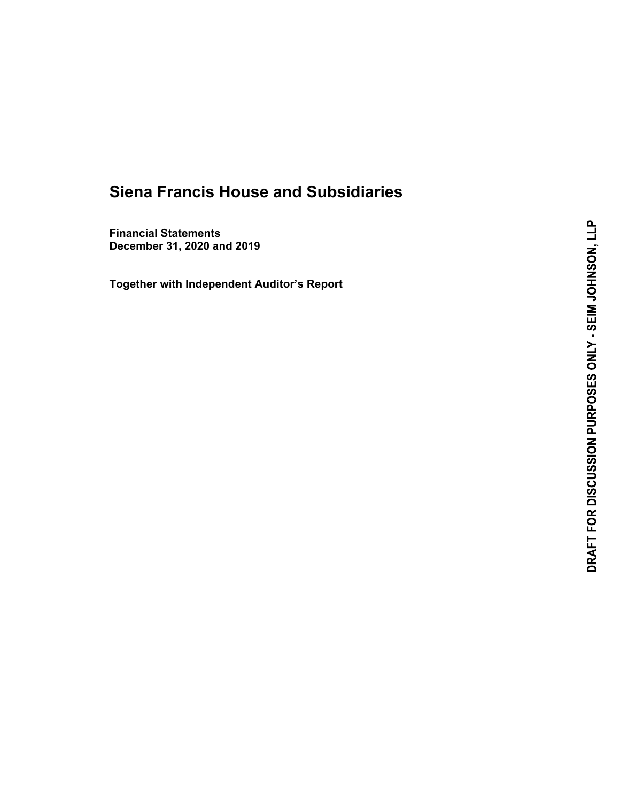**Financial Statements December 31, 2020 and 2019** 

**Together with Independent Auditor's Report**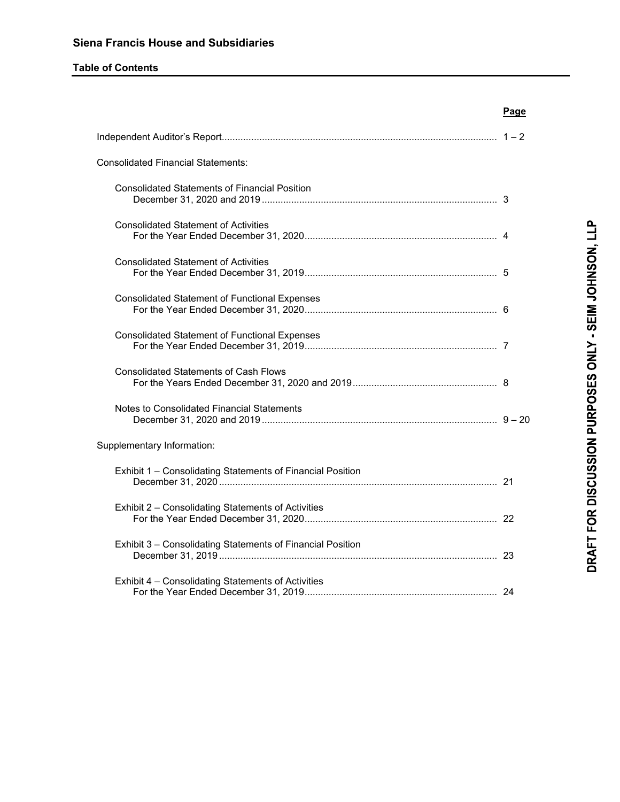# **Table of Contents**

|                                                            | <b>Page</b> |
|------------------------------------------------------------|-------------|
|                                                            |             |
| <b>Consolidated Financial Statements:</b>                  |             |
| <b>Consolidated Statements of Financial Position</b>       |             |
| <b>Consolidated Statement of Activities</b>                |             |
| <b>Consolidated Statement of Activities</b>                |             |
| <b>Consolidated Statement of Functional Expenses</b>       |             |
| <b>Consolidated Statement of Functional Expenses</b>       |             |
| <b>Consolidated Statements of Cash Flows</b>               |             |
| Notes to Consolidated Financial Statements                 |             |
| Supplementary Information:                                 |             |
| Exhibit 1 - Consolidating Statements of Financial Position |             |
| Exhibit 2 - Consolidating Statements of Activities         |             |
| Exhibit 3 - Consolidating Statements of Financial Position |             |
| Exhibit 4 - Consolidating Statements of Activities         |             |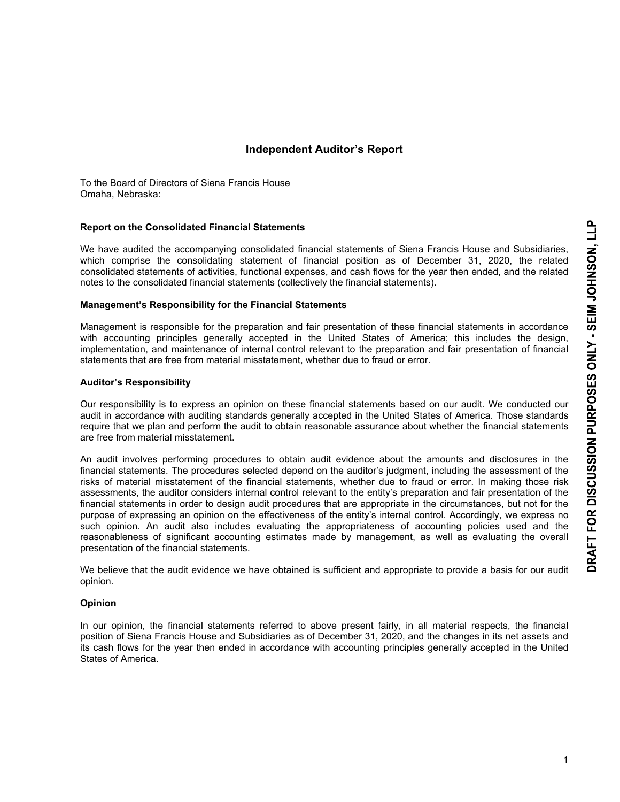# **Independent Auditor's Report**

To the Board of Directors of Siena Francis House Omaha, Nebraska:

#### **Report on the Consolidated Financial Statements**

We have audited the accompanying consolidated financial statements of Siena Francis House and Subsidiaries, which comprise the consolidating statement of financial position as of December 31, 2020, the related consolidated statements of activities, functional expenses, and cash flows for the year then ended, and the related notes to the consolidated financial statements (collectively the financial statements).

#### **Management's Responsibility for the Financial Statements**

Management is responsible for the preparation and fair presentation of these financial statements in accordance with accounting principles generally accepted in the United States of America; this includes the design, implementation, and maintenance of internal control relevant to the preparation and fair presentation of financial statements that are free from material misstatement, whether due to fraud or error.

#### **Auditor's Responsibility**

Our responsibility is to express an opinion on these financial statements based on our audit. We conducted our audit in accordance with auditing standards generally accepted in the United States of America. Those standards require that we plan and perform the audit to obtain reasonable assurance about whether the financial statements are free from material misstatement.

An audit involves performing procedures to obtain audit evidence about the amounts and disclosures in the financial statements. The procedures selected depend on the auditor's judgment, including the assessment of the risks of material misstatement of the financial statements, whether due to fraud or error. In making those risk assessments, the auditor considers internal control relevant to the entity's preparation and fair presentation of the financial statements in order to design audit procedures that are appropriate in the circumstances, but not for the purpose of expressing an opinion on the effectiveness of the entity's internal control. Accordingly, we express no such opinion. An audit also includes evaluating the appropriateness of accounting policies used and the reasonableness of significant accounting estimates made by management, as well as evaluating the overall presentation of the financial statements.

We believe that the audit evidence we have obtained is sufficient and appropriate to provide a basis for our audit opinion.

#### **Opinion**

In our opinion, the financial statements referred to above present fairly, in all material respects, the financial position of Siena Francis House and Subsidiaries as of December 31, 2020, and the changes in its net assets and its cash flows for the year then ended in accordance with accounting principles generally accepted in the United States of America.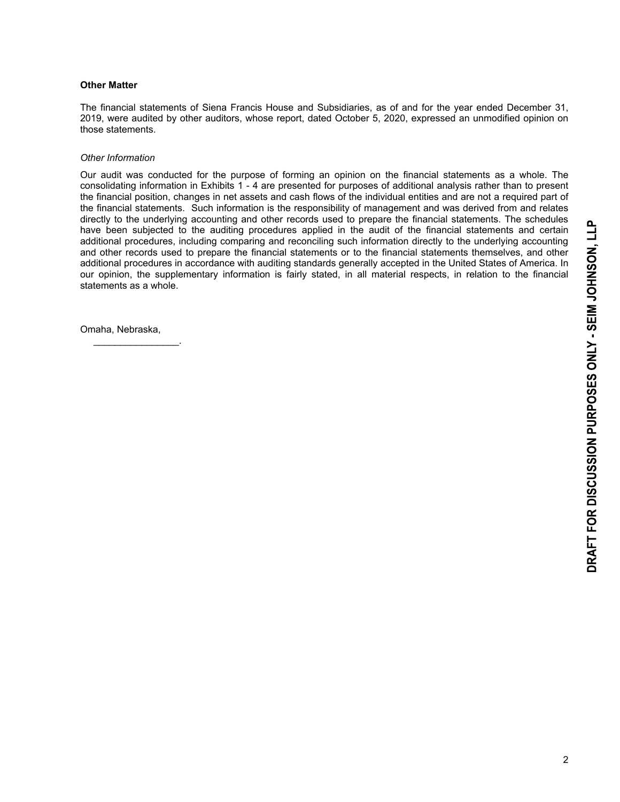#### **Other Matter**

The financial statements of Siena Francis House and Subsidiaries, as of and for the year ended December 31, 2019, were audited by other auditors, whose report, dated October 5, 2020, expressed an unmodified opinion on those statements.

#### *Other Information*

Our audit was conducted for the purpose of forming an opinion on the financial statements as a whole. The consolidating information in Exhibits 1 - 4 are presented for purposes of additional analysis rather than to present the financial position, changes in net assets and cash flows of the individual entities and are not a required part of the financial statements. Such information is the responsibility of management and was derived from and relates directly to the underlying accounting and other records used to prepare the financial statements. The schedules have been subjected to the auditing procedures applied in the audit of the financial statements and certain additional procedures, including comparing and reconciling such information directly to the underlying accounting and other records used to prepare the financial statements or to the financial statements themselves, and other additional procedures in accordance with auditing standards generally accepted in the United States of America. In our opinion, the supplementary information is fairly stated, in all material respects, in relation to the financial statements as a whole.

Omaha, Nebraska,

 $\mathcal{L}_\text{max}$  and  $\mathcal{L}_\text{max}$  and  $\mathcal{L}_\text{max}$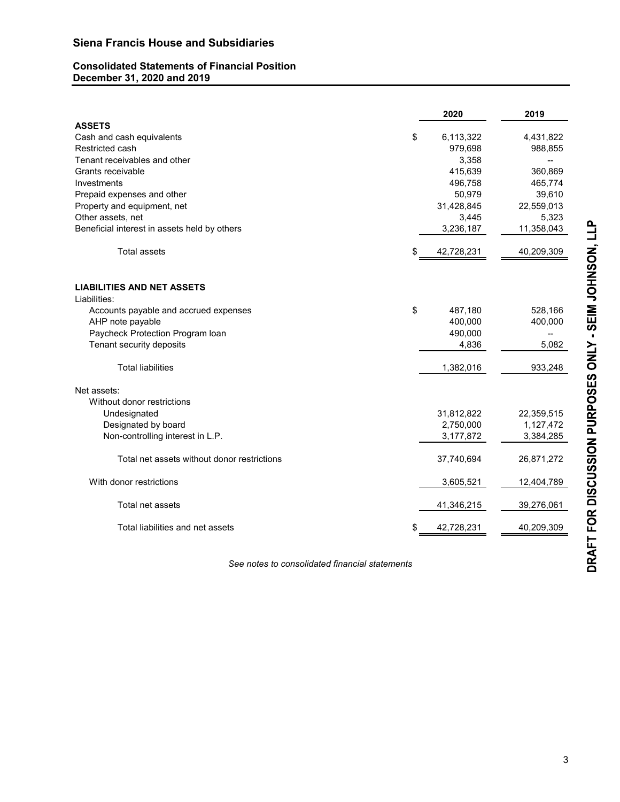# **Consolidated Statements of Financial Position December 31, 2020 and 2019**

|                                              | 2020             | 2019       |
|----------------------------------------------|------------------|------------|
| <b>ASSETS</b>                                |                  |            |
| Cash and cash equivalents                    | \$<br>6,113,322  | 4,431,822  |
| Restricted cash                              | 979,698          | 988,855    |
| Tenant receivables and other                 | 3,358            |            |
| Grants receivable                            | 415,639          | 360,869    |
| Investments                                  | 496,758          | 465,774    |
| Prepaid expenses and other                   | 50,979           | 39,610     |
| Property and equipment, net                  | 31,428,845       | 22,559,013 |
| Other assets, net                            | 3,445            | 5,323      |
| Beneficial interest in assets held by others | 3,236,187        | 11,358,043 |
| <b>Total assets</b>                          | \$<br>42,728,231 | 40,209,309 |
| <b>LIABILITIES AND NET ASSETS</b>            |                  |            |
| Liabilities:                                 |                  |            |
| Accounts payable and accrued expenses        | \$<br>487,180    | 528,166    |
| AHP note payable                             | 400,000          | 400,000    |
| Paycheck Protection Program Ioan             | 490,000          |            |
| Tenant security deposits                     | 4,836            | 5,082      |
| <b>Total liabilities</b>                     | 1,382,016        | 933,248    |
| Net assets:                                  |                  |            |
| Without donor restrictions                   |                  |            |
| Undesignated                                 | 31,812,822       | 22,359,515 |
| Designated by board                          | 2,750,000        | 1,127,472  |
| Non-controlling interest in L.P.             | 3,177,872        | 3,384,285  |
| Total net assets without donor restrictions  | 37,740,694       | 26,871,272 |
| With donor restrictions                      | 3,605,521        | 12,404,789 |
| Total net assets                             | 41,346,215       | 39,276,061 |
| Total liabilities and net assets             | \$<br>42,728,231 | 40,209,309 |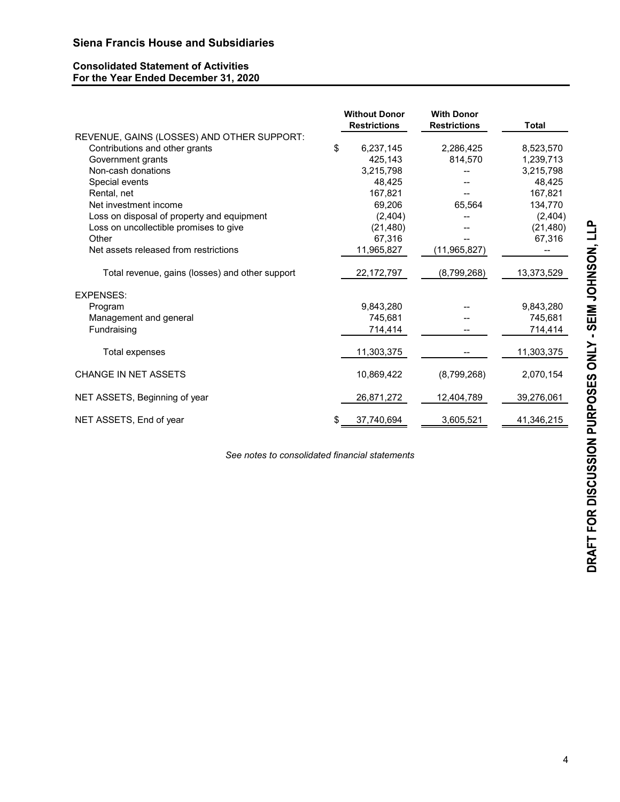# **Consolidated Statement of Activities For the Year Ended December 31, 2020**

|                                                 | <b>Without Donor</b> | <b>With Donor</b>   |              |
|-------------------------------------------------|----------------------|---------------------|--------------|
|                                                 | <b>Restrictions</b>  | <b>Restrictions</b> | <b>Total</b> |
| REVENUE, GAINS (LOSSES) AND OTHER SUPPORT:      |                      |                     |              |
| Contributions and other grants                  | \$<br>6,237,145      | 2,286,425           | 8,523,570    |
| Government grants                               | 425.143              | 814,570             | 1,239,713    |
| Non-cash donations                              | 3,215,798            |                     | 3,215,798    |
| Special events                                  | 48,425               |                     | 48,425       |
| Rental, net                                     | 167,821              |                     | 167,821      |
| Net investment income                           | 69,206               | 65,564              | 134,770      |
| Loss on disposal of property and equipment      | (2, 404)             |                     | (2, 404)     |
| Loss on uncollectible promises to give          | (21, 480)            |                     | (21, 480)    |
| Other                                           | 67,316               |                     | 67,316       |
| Net assets released from restrictions           | 11,965,827           | (11, 965, 827)      | --           |
| Total revenue, gains (losses) and other support | 22, 172, 797         | (8,799,268)         | 13,373,529   |
| <b>EXPENSES:</b>                                |                      |                     |              |
| Program                                         | 9,843,280            |                     | 9,843,280    |
| Management and general                          | 745,681              |                     | 745,681      |
| Fundraising                                     | 714,414              |                     | 714,414      |
| Total expenses                                  | 11,303,375           |                     | 11,303,375   |
| <b>CHANGE IN NET ASSETS</b>                     | 10,869,422           | (8,799,268)         | 2,070,154    |
| NET ASSETS, Beginning of year                   | 26,871,272           | 12,404,789          | 39,276,061   |
| NET ASSETS, End of year                         | \$<br>37,740,694     | 3,605,521           | 41,346,215   |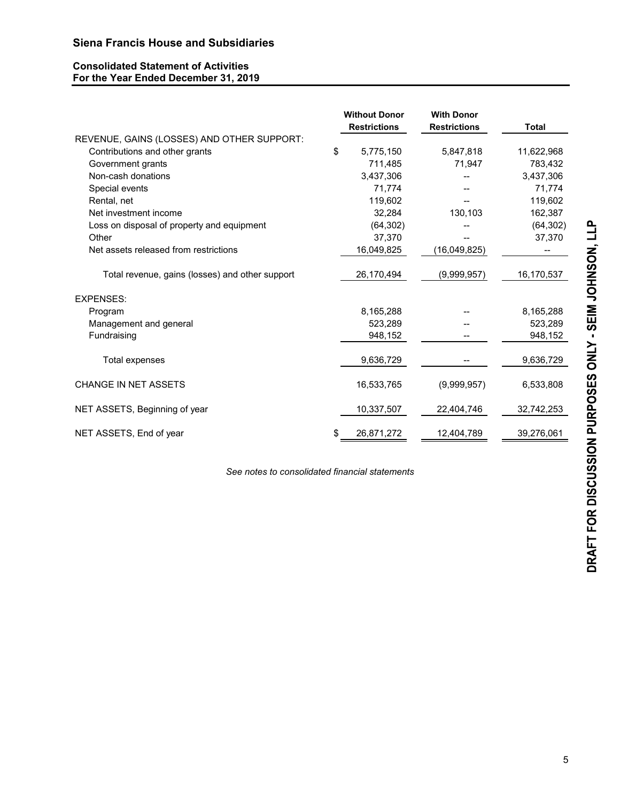# **Consolidated Statement of Activities For the Year Ended December 31, 2019**

|                                                 | <b>Without Donor</b><br><b>Restrictions</b> | <b>With Donor</b><br><b>Restrictions</b> | <b>Total</b> |
|-------------------------------------------------|---------------------------------------------|------------------------------------------|--------------|
| REVENUE, GAINS (LOSSES) AND OTHER SUPPORT:      |                                             |                                          |              |
| Contributions and other grants                  | \$<br>5,775,150                             | 5,847,818                                | 11,622,968   |
| Government grants                               | 711,485                                     | 71,947                                   | 783,432      |
| Non-cash donations                              | 3,437,306                                   |                                          | 3,437,306    |
| Special events                                  | 71,774                                      |                                          | 71,774       |
| Rental, net                                     | 119,602                                     |                                          | 119,602      |
| Net investment income                           | 32,284                                      | 130,103                                  | 162,387      |
| Loss on disposal of property and equipment      | (64, 302)                                   |                                          | (64, 302)    |
| Other                                           | 37,370                                      |                                          | 37,370       |
| Net assets released from restrictions           | 16,049,825                                  | (16,049,825)                             |              |
| Total revenue, gains (losses) and other support | 26,170,494                                  | (9,999,957)                              | 16,170,537   |
| <b>EXPENSES:</b>                                |                                             |                                          |              |
| Program                                         | 8,165,288                                   |                                          | 8,165,288    |
| Management and general                          | 523,289                                     |                                          | 523,289      |
| Fundraising                                     | 948,152                                     |                                          | 948,152      |
| Total expenses                                  | 9,636,729                                   |                                          | 9,636,729    |
| <b>CHANGE IN NET ASSETS</b>                     | 16,533,765                                  | (9,999,957)                              | 6,533,808    |
| NET ASSETS, Beginning of year                   | 10,337,507                                  | 22,404,746                               | 32,742,253   |
| NET ASSETS, End of year                         | \$<br>26,871,272                            | 12,404,789                               | 39,276,061   |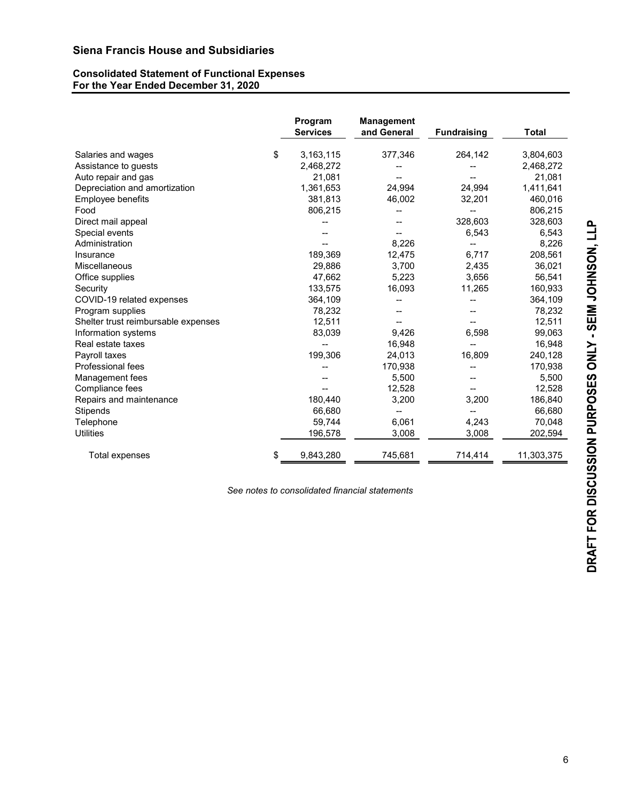# **Consolidated Statement of Functional Expenses For the Year Ended December 31, 2020**

|                                     | Program<br><b>Services</b> | <b>Management</b><br>and General | <b>Fundraising</b> | <b>Total</b> |
|-------------------------------------|----------------------------|----------------------------------|--------------------|--------------|
| Salaries and wages                  | \$<br>3,163,115            | 377,346                          | 264,142            | 3,804,603    |
| Assistance to guests                | 2,468,272                  |                                  |                    | 2,468,272    |
| Auto repair and gas                 | 21,081                     |                                  |                    | 21,081       |
| Depreciation and amortization       | 1,361,653                  | 24,994                           | 24,994             | 1,411,641    |
| Employee benefits                   | 381,813                    | 46,002                           | 32,201             | 460,016      |
| Food                                | 806,215                    |                                  |                    | 806,215      |
| Direct mail appeal                  |                            |                                  | 328,603            | 328,603      |
| Special events                      |                            |                                  | 6,543              | 6,543        |
| Administration                      |                            | 8,226                            |                    | 8,226        |
| Insurance                           | 189,369                    | 12,475                           | 6,717              | 208,561      |
| Miscellaneous                       | 29,886                     | 3,700                            | 2,435              | 36,021       |
| Office supplies                     | 47,662                     | 5,223                            | 3.656              | 56,541       |
| Security                            | 133,575                    | 16,093                           | 11,265             | 160,933      |
| COVID-19 related expenses           | 364,109                    |                                  |                    | 364,109      |
| Program supplies                    | 78,232                     |                                  |                    | 78,232       |
| Shelter trust reimbursable expenses | 12,511                     |                                  |                    | 12,511       |
| Information systems                 | 83,039                     | 9,426                            | 6,598              | 99,063       |
| Real estate taxes                   |                            | 16,948                           |                    | 16,948       |
| Payroll taxes                       | 199,306                    | 24,013                           | 16,809             | 240,128      |
| Professional fees                   |                            | 170,938                          |                    | 170,938      |
| Management fees                     |                            | 5,500                            |                    | 5,500        |
| Compliance fees                     |                            | 12,528                           |                    | 12,528       |
| Repairs and maintenance             | 180,440                    | 3,200                            | 3,200              | 186,840      |
| Stipends                            | 66,680                     |                                  | --                 | 66,680       |
| Telephone                           | 59,744                     | 6,061                            | 4,243              | 70,048       |
| <b>Utilities</b>                    | 196,578                    | 3,008                            | 3,008              | 202,594      |
| Total expenses                      | \$<br>9,843,280            | 745,681                          | 714,414            | 11,303,375   |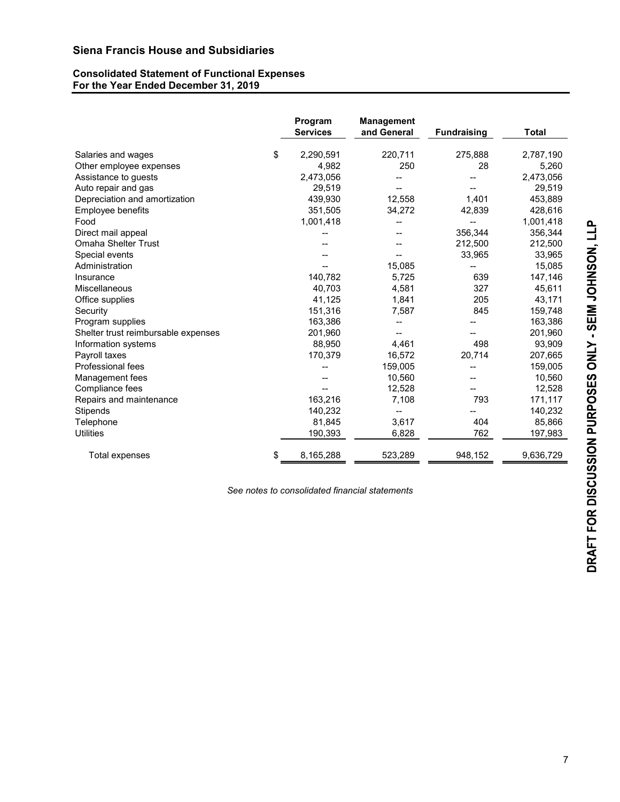# **Consolidated Statement of Functional Expenses For the Year Ended December 31, 2019**

|                                     | Program<br><b>Services</b> | <b>Management</b><br>and General | <b>Fundraising</b> | Total     |
|-------------------------------------|----------------------------|----------------------------------|--------------------|-----------|
| Salaries and wages                  | \$<br>2,290,591            | 220,711                          | 275,888            | 2,787,190 |
| Other employee expenses             | 4,982                      | 250                              | 28                 | 5,260     |
| Assistance to guests                | 2,473,056                  |                                  |                    | 2,473,056 |
| Auto repair and gas                 | 29,519                     |                                  |                    | 29,519    |
| Depreciation and amortization       | 439,930                    | 12,558                           | 1,401              | 453,889   |
| Employee benefits                   | 351,505                    | 34,272                           | 42,839             | 428,616   |
| Food                                | 1,001,418                  |                                  |                    | 1,001,418 |
| Direct mail appeal                  |                            |                                  | 356,344            | 356,344   |
| <b>Omaha Shelter Trust</b>          |                            |                                  | 212,500            | 212,500   |
| Special events                      |                            |                                  | 33,965             | 33,965    |
| Administration                      |                            | 15,085                           |                    | 15,085    |
| Insurance                           | 140.782                    | 5,725                            | 639                | 147,146   |
| <b>Miscellaneous</b>                | 40,703                     | 4,581                            | 327                | 45,611    |
| Office supplies                     | 41,125                     | 1,841                            | 205                | 43,171    |
| Security                            | 151,316                    | 7,587                            | 845                | 159,748   |
| Program supplies                    | 163,386                    |                                  |                    | 163,386   |
| Shelter trust reimbursable expenses | 201,960                    |                                  |                    | 201,960   |
| Information systems                 | 88,950                     | 4,461                            | 498                | 93,909    |
| Payroll taxes                       | 170,379                    | 16,572                           | 20,714             | 207,665   |
| <b>Professional fees</b>            |                            | 159,005                          |                    | 159,005   |
| Management fees                     |                            | 10,560                           |                    | 10,560    |
| Compliance fees                     |                            | 12,528                           |                    | 12,528    |
| Repairs and maintenance             | 163,216                    | 7,108                            | 793                | 171,117   |
| Stipends                            | 140,232                    |                                  |                    | 140,232   |
| Telephone                           | 81,845                     | 3,617                            | 404                | 85,866    |
| Utilities                           | 190,393                    | 6,828                            | 762                | 197,983   |
| Total expenses                      | \$<br>8,165,288            | 523,289                          | 948,152            | 9,636,729 |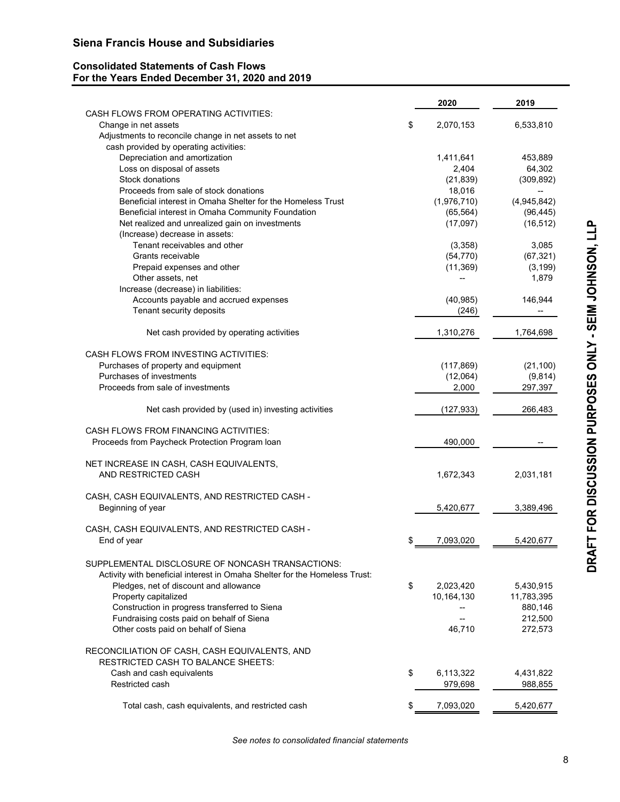# **Consolidated Statements of Cash Flows For the Years Ended December 31, 2020 and 2019**

|                                                                            | 2020            | 2019        |
|----------------------------------------------------------------------------|-----------------|-------------|
| CASH FLOWS FROM OPERATING ACTIVITIES:                                      |                 |             |
| Change in net assets                                                       | \$<br>2,070,153 | 6,533,810   |
| Adjustments to reconcile change in net assets to net                       |                 |             |
| cash provided by operating activities:                                     |                 |             |
| Depreciation and amortization                                              | 1,411,641       | 453,889     |
| Loss on disposal of assets                                                 | 2,404           | 64,302      |
| Stock donations                                                            | (21, 839)       | (309, 892)  |
| Proceeds from sale of stock donations                                      | 18,016          |             |
| Beneficial interest in Omaha Shelter for the Homeless Trust                | (1,976,710)     | (4,945,842) |
| Beneficial interest in Omaha Community Foundation                          | (65, 564)       | (96, 445)   |
| Net realized and unrealized gain on investments                            | (17,097)        | (16, 512)   |
| (Increase) decrease in assets:                                             |                 |             |
| Tenant receivables and other                                               | (3,358)         | 3,085       |
| Grants receivable                                                          | (54, 770)       | (67, 321)   |
| Prepaid expenses and other                                                 | (11, 369)       | (3, 199)    |
| Other assets, net                                                          |                 | 1,879       |
| Increase (decrease) in liabilities:                                        |                 |             |
| Accounts payable and accrued expenses                                      | (40, 985)       | 146,944     |
| Tenant security deposits                                                   | (246)           |             |
|                                                                            |                 |             |
| Net cash provided by operating activities                                  | 1,310,276       | 1,764,698   |
| CASH FLOWS FROM INVESTING ACTIVITIES:                                      |                 |             |
| Purchases of property and equipment                                        | (117, 869)      | (21, 100)   |
| Purchases of investments                                                   | (12,064)        | (9, 814)    |
| Proceeds from sale of investments                                          | 2,000           | 297,397     |
| Net cash provided by (used in) investing activities                        | (127, 933)      | 266,483     |
| CASH FLOWS FROM FINANCING ACTIVITIES:                                      |                 |             |
| Proceeds from Paycheck Protection Program Ioan                             | 490,000         |             |
| NET INCREASE IN CASH, CASH EQUIVALENTS,                                    |                 |             |
| AND RESTRICTED CASH                                                        | 1,672,343       | 2,031,181   |
| CASH, CASH EQUIVALENTS, AND RESTRICTED CASH -                              |                 |             |
| Beginning of year                                                          | 5,420,677       | 3,389,496   |
|                                                                            |                 |             |
| CASH, CASH EQUIVALENTS, AND RESTRICTED CASH -                              |                 |             |
| End of year                                                                | \$<br>7,093,020 | 5,420,677   |
| SUPPLEMENTAL DISCLOSURE OF NONCASH TRANSACTIONS:                           |                 |             |
| Activity with beneficial interest in Omaha Shelter for the Homeless Trust: |                 |             |
| Pledges, net of discount and allowance                                     | \$<br>2,023,420 | 5,430,915   |
| Property capitalized                                                       | 10,164,130      | 11,783,395  |
| Construction in progress transferred to Siena                              |                 | 880,146     |
| Fundraising costs paid on behalf of Siena                                  |                 | 212,500     |
| Other costs paid on behalf of Siena                                        | 46,710          | 272,573     |
| RECONCILIATION OF CASH, CASH EQUIVALENTS, AND                              |                 |             |
| <b>RESTRICTED CASH TO BALANCE SHEETS:</b>                                  |                 |             |
| Cash and cash equivalents                                                  | \$<br>6,113,322 | 4,431,822   |
| Restricted cash                                                            | 979,698         | 988,855     |
|                                                                            |                 |             |
| Total cash, cash equivalents, and restricted cash                          | \$<br>7,093,020 | 5,420,677   |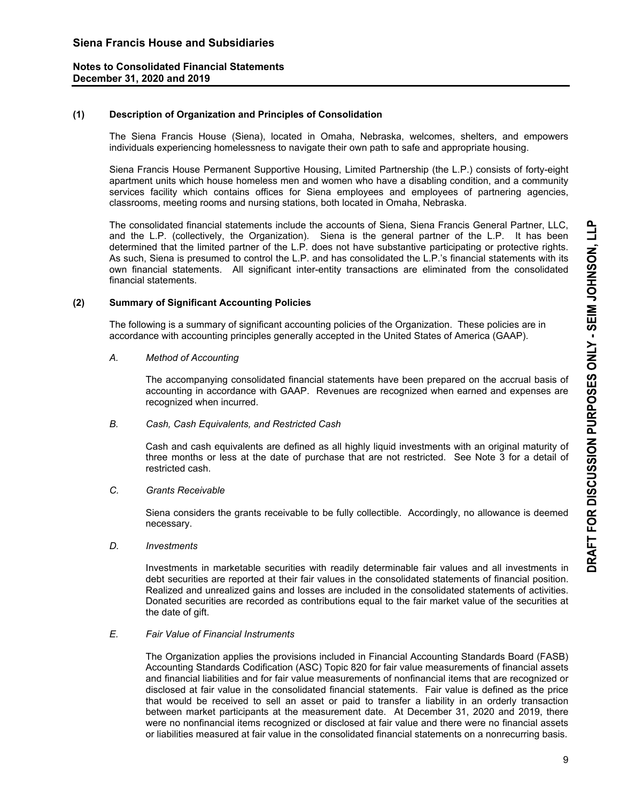#### **(1) Description of Organization and Principles of Consolidation**

 The Siena Francis House (Siena), located in Omaha, Nebraska, welcomes, shelters, and empowers individuals experiencing homelessness to navigate their own path to safe and appropriate housing.

 Siena Francis House Permanent Supportive Housing, Limited Partnership (the L.P.) consists of forty-eight apartment units which house homeless men and women who have a disabling condition, and a community services facility which contains offices for Siena employees and employees of partnering agencies, classrooms, meeting rooms and nursing stations, both located in Omaha, Nebraska.

 The consolidated financial statements include the accounts of Siena, Siena Francis General Partner, LLC, and the L.P. (collectively, the Organization). Siena is the general partner of the L.P. It has been determined that the limited partner of the L.P. does not have substantive participating or protective rights. As such, Siena is presumed to control the L.P. and has consolidated the L.P.'s financial statements with its own financial statements. All significant inter-entity transactions are eliminated from the consolidated financial statements.

#### **(2) Summary of Significant Accounting Policies**

The following is a summary of significant accounting policies of the Organization. These policies are in accordance with accounting principles generally accepted in the United States of America (GAAP).

#### *A. Method of Accounting*

 The accompanying consolidated financial statements have been prepared on the accrual basis of accounting in accordance with GAAP. Revenues are recognized when earned and expenses are recognized when incurred.

#### *B. Cash, Cash Equivalents, and Restricted Cash*

 Cash and cash equivalents are defined as all highly liquid investments with an original maturity of three months or less at the date of purchase that are not restricted. See Note 3 for a detail of restricted cash.

# *C. Grants Receivable*

 Siena considers the grants receivable to be fully collectible. Accordingly, no allowance is deemed necessary.

 *D. Investments* 

 Investments in marketable securities with readily determinable fair values and all investments in debt securities are reported at their fair values in the consolidated statements of financial position. Realized and unrealized gains and losses are included in the consolidated statements of activities. Donated securities are recorded as contributions equal to the fair market value of the securities at the date of gift.

#### *E. Fair Value of Financial Instruments*

 The Organization applies the provisions included in Financial Accounting Standards Board (FASB) Accounting Standards Codification (ASC) Topic 820 for fair value measurements of financial assets and financial liabilities and for fair value measurements of nonfinancial items that are recognized or disclosed at fair value in the consolidated financial statements. Fair value is defined as the price that would be received to sell an asset or paid to transfer a liability in an orderly transaction between market participants at the measurement date. At December 31, 2020 and 2019, there were no nonfinancial items recognized or disclosed at fair value and there were no financial assets or liabilities measured at fair value in the consolidated financial statements on a nonrecurring basis.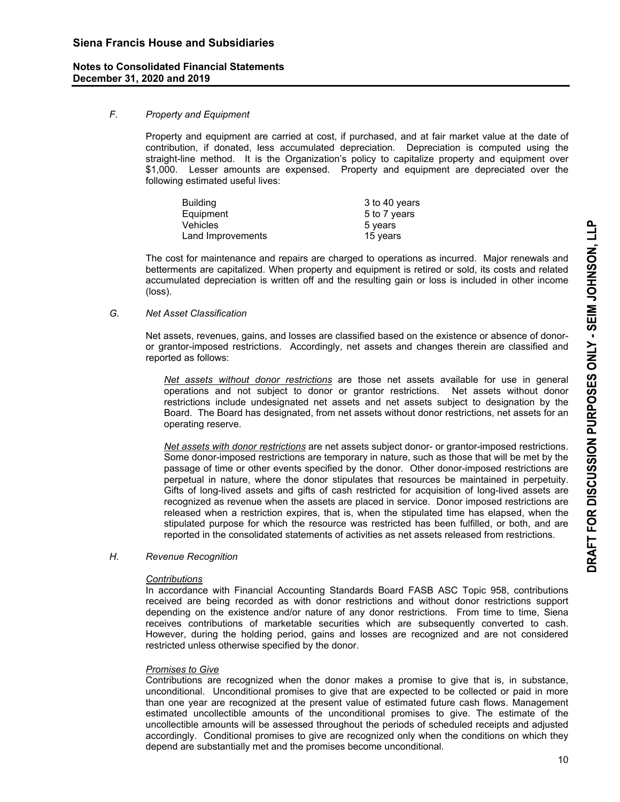#### *F. Property and Equipment*

 Property and equipment are carried at cost, if purchased, and at fair market value at the date of contribution, if donated, less accumulated depreciation. Depreciation is computed using the straight-line method. It is the Organization's policy to capitalize property and equipment over \$1,000. Lesser amounts are expensed. Property and equipment are depreciated over the following estimated useful lives:

| Building          | 3 to 40 years |
|-------------------|---------------|
| Equipment         | 5 to 7 years  |
| Vehicles          | 5 years       |
| Land Improvements | 15 years      |

 The cost for maintenance and repairs are charged to operations as incurred. Major renewals and betterments are capitalized. When property and equipment is retired or sold, its costs and related accumulated depreciation is written off and the resulting gain or loss is included in other income (loss).

#### *G. Net Asset Classification*

 Net assets, revenues, gains, and losses are classified based on the existence or absence of donoror grantor-imposed restrictions. Accordingly, net assets and changes therein are classified and reported as follows:

*Net assets without donor restrictions* are those net assets available for use in general operations and not subject to donor or grantor restrictions. Net assets without donor restrictions include undesignated net assets and net assets subject to designation by the Board. The Board has designated, from net assets without donor restrictions, net assets for an operating reserve.

*Net assets with donor restrictions* are net assets subject donor- or grantor-imposed restrictions. Some donor-imposed restrictions are temporary in nature, such as those that will be met by the passage of time or other events specified by the donor. Other donor-imposed restrictions are perpetual in nature, where the donor stipulates that resources be maintained in perpetuity. Gifts of long-lived assets and gifts of cash restricted for acquisition of long-lived assets are recognized as revenue when the assets are placed in service. Donor imposed restrictions are released when a restriction expires, that is, when the stipulated time has elapsed, when the stipulated purpose for which the resource was restricted has been fulfilled, or both, and are reported in the consolidated statements of activities as net assets released from restrictions.

# *H. Revenue Recognition*

#### *Contributions*

 In accordance with Financial Accounting Standards Board FASB ASC Topic 958, contributions received are being recorded as with donor restrictions and without donor restrictions support depending on the existence and/or nature of any donor restrictions. From time to time, Siena receives contributions of marketable securities which are subsequently converted to cash. However, during the holding period, gains and losses are recognized and are not considered restricted unless otherwise specified by the donor.

#### *Promises to Give*

 Contributions are recognized when the donor makes a promise to give that is, in substance, unconditional. Unconditional promises to give that are expected to be collected or paid in more than one year are recognized at the present value of estimated future cash flows. Management estimated uncollectible amounts of the unconditional promises to give. The estimate of the uncollectible amounts will be assessed throughout the periods of scheduled receipts and adjusted accordingly. Conditional promises to give are recognized only when the conditions on which they depend are substantially met and the promises become unconditional.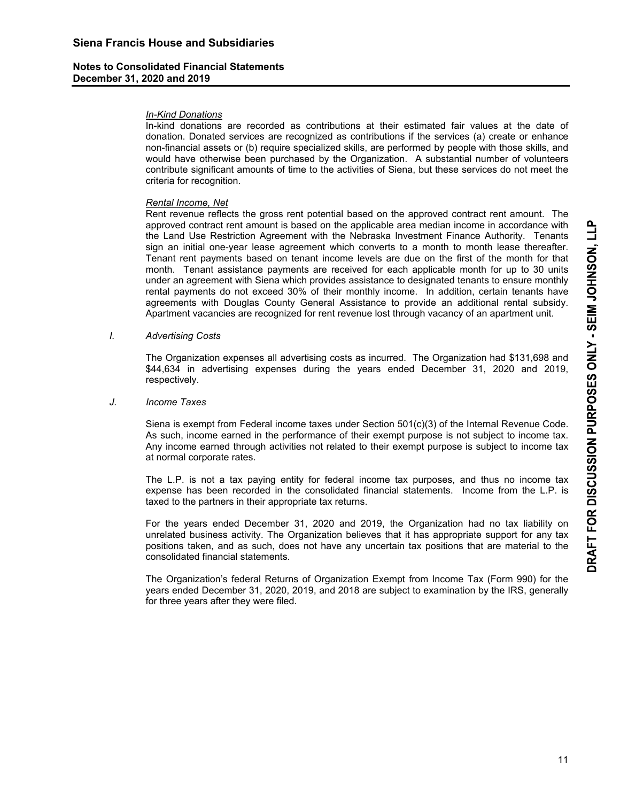#### *In-Kind Donations*

 In-kind donations are recorded as contributions at their estimated fair values at the date of donation. Donated services are recognized as contributions if the services (a) create or enhance non-financial assets or (b) require specialized skills, are performed by people with those skills, and would have otherwise been purchased by the Organization. A substantial number of volunteers contribute significant amounts of time to the activities of Siena, but these services do not meet the criteria for recognition.

#### *Rental Income, Net*

 Rent revenue reflects the gross rent potential based on the approved contract rent amount. The approved contract rent amount is based on the applicable area median income in accordance with the Land Use Restriction Agreement with the Nebraska Investment Finance Authority. Tenants sign an initial one-year lease agreement which converts to a month to month lease thereafter. Tenant rent payments based on tenant income levels are due on the first of the month for that month. Tenant assistance payments are received for each applicable month for up to 30 units under an agreement with Siena which provides assistance to designated tenants to ensure monthly rental payments do not exceed 30% of their monthly income. In addition, certain tenants have agreements with Douglas County General Assistance to provide an additional rental subsidy. Apartment vacancies are recognized for rent revenue lost through vacancy of an apartment unit.

#### *I. Advertising Costs*

 The Organization expenses all advertising costs as incurred. The Organization had \$131,698 and \$44,634 in advertising expenses during the years ended December 31, 2020 and 2019, respectively.

#### *J. Income Taxes*

 Siena is exempt from Federal income taxes under Section 501(c)(3) of the Internal Revenue Code. As such, income earned in the performance of their exempt purpose is not subject to income tax. Any income earned through activities not related to their exempt purpose is subject to income tax at normal corporate rates.

 The L.P. is not a tax paying entity for federal income tax purposes, and thus no income tax expense has been recorded in the consolidated financial statements. Income from the L.P. is taxed to the partners in their appropriate tax returns.

 For the years ended December 31, 2020 and 2019, the Organization had no tax liability on unrelated business activity. The Organization believes that it has appropriate support for any tax positions taken, and as such, does not have any uncertain tax positions that are material to the consolidated financial statements.

 The Organization's federal Returns of Organization Exempt from Income Tax (Form 990) for the years ended December 31, 2020, 2019, and 2018 are subject to examination by the IRS, generally for three years after they were filed.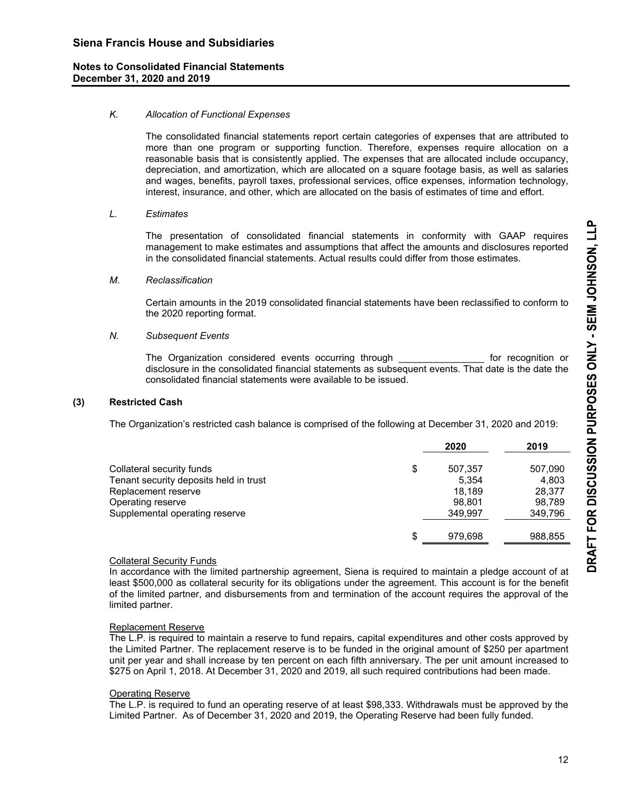# *K. Allocation of Functional Expenses*

 The consolidated financial statements report certain categories of expenses that are attributed to more than one program or supporting function. Therefore, expenses require allocation on a reasonable basis that is consistently applied. The expenses that are allocated include occupancy, depreciation, and amortization, which are allocated on a square footage basis, as well as salaries and wages, benefits, payroll taxes, professional services, office expenses, information technology, interest, insurance, and other, which are allocated on the basis of estimates of time and effort.

#### *L. Estimates*

 The presentation of consolidated financial statements in conformity with GAAP requires management to make estimates and assumptions that affect the amounts and disclosures reported in the consolidated financial statements. Actual results could differ from those estimates.

#### *M. Reclassification*

 Certain amounts in the 2019 consolidated financial statements have been reclassified to conform to the 2020 reporting format.

#### *N. Subsequent Events*

 The Organization considered events occurring through \_\_\_\_\_\_\_\_\_\_\_\_\_\_\_\_ for recognition or disclosure in the consolidated financial statements as subsequent events. That date is the date the consolidated financial statements were available to be issued.

#### **(3) Restricted Cash**

The Organization's restricted cash balance is comprised of the following at December 31, 2020 and 2019:

|                                        | 2020          | 2019    |
|----------------------------------------|---------------|---------|
| Collateral security funds              | \$<br>507.357 | 507,090 |
| Tenant security deposits held in trust | 5.354         | 4,803   |
| Replacement reserve                    | 18.189        | 28.377  |
| Operating reserve                      | 98.801        | 98,789  |
| Supplemental operating reserve         | 349.997       | 349,796 |
|                                        |               |         |
|                                        | \$<br>979.698 | 988,855 |

# Collateral Security Funds

 In accordance with the limited partnership agreement, Siena is required to maintain a pledge account of at least \$500,000 as collateral security for its obligations under the agreement. This account is for the benefit of the limited partner, and disbursements from and termination of the account requires the approval of the limited partner.

# Replacement Reserve

 The L.P. is required to maintain a reserve to fund repairs, capital expenditures and other costs approved by the Limited Partner. The replacement reserve is to be funded in the original amount of \$250 per apartment unit per year and shall increase by ten percent on each fifth anniversary. The per unit amount increased to \$275 on April 1, 2018. At December 31, 2020 and 2019, all such required contributions had been made.

# Operating Reserve

 The L.P. is required to fund an operating reserve of at least \$98,333. Withdrawals must be approved by the Limited Partner. As of December 31, 2020 and 2019, the Operating Reserve had been fully funded.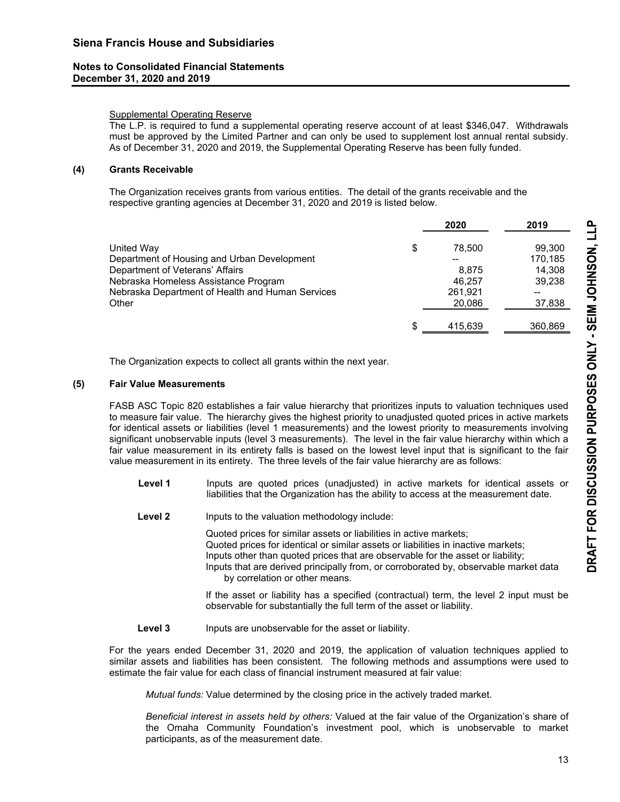# Supplemental Operating Reserve

 The L.P. is required to fund a supplemental operating reserve account of at least \$346,047. Withdrawals must be approved by the Limited Partner and can only be used to supplement lost annual rental subsidy. As of December 31, 2020 and 2019, the Supplemental Operating Reserve has been fully funded.

# **(4) Grants Receivable**

 The Organization receives grants from various entities. The detail of the grants receivable and the respective granting agencies at December 31, 2020 and 2019 is listed below.

|                                                  | 2020         | 2019    |
|--------------------------------------------------|--------------|---------|
| United Way                                       | \$<br>78.500 | 99,300  |
| Department of Housing and Urban Development      |              | 170,185 |
| Department of Veterans' Affairs                  | 8.875        | 14.308  |
| Nebraska Homeless Assistance Program             | 46.257       | 39,238  |
| Nebraska Department of Health and Human Services | 261,921      |         |
| Other                                            | 20,086       | 37,838  |
|                                                  | 415,639      | 360,869 |

The Organization expects to collect all grants within the next year.

# **(5) Fair Value Measurements**

 FASB ASC Topic 820 establishes a fair value hierarchy that prioritizes inputs to valuation techniques used to measure fair value. The hierarchy gives the highest priority to unadjusted quoted prices in active markets for identical assets or liabilities (level 1 measurements) and the lowest priority to measurements involving significant unobservable inputs (level 3 measurements). The level in the fair value hierarchy within which a fair value measurement in its entirety falls is based on the lowest level input that is significant to the fair value measurement in its entirety. The three levels of the fair value hierarchy are as follows:

- Level 1 **Inputs** are quoted prices (unadjusted) in active markets for identical assets or liabilities that the Organization has the ability to access at the measurement date.
- **Level 2** Inputs to the valuation methodology include:

Quoted prices for similar assets or liabilities in active markets; Quoted prices for identical or similar assets or liabilities in inactive markets; Inputs other than quoted prices that are observable for the asset or liability; Inputs that are derived principally from, or corroborated by, observable market data by correlation or other means.

If the asset or liability has a specified (contractual) term, the level 2 input must be observable for substantially the full term of the asset or liability.

Level 3 **Inputs are unobservable for the asset or liability.** 

 For the years ended December 31, 2020 and 2019, the application of valuation techniques applied to similar assets and liabilities has been consistent. The following methods and assumptions were used to estimate the fair value for each class of financial instrument measured at fair value:

*Mutual funds:* Value determined by the closing price in the actively traded market.

 *Beneficial interest in assets held by others:* Valued at the fair value of the Organization's share of the Omaha Community Foundation's investment pool, which is unobservable to market participants, as of the measurement date.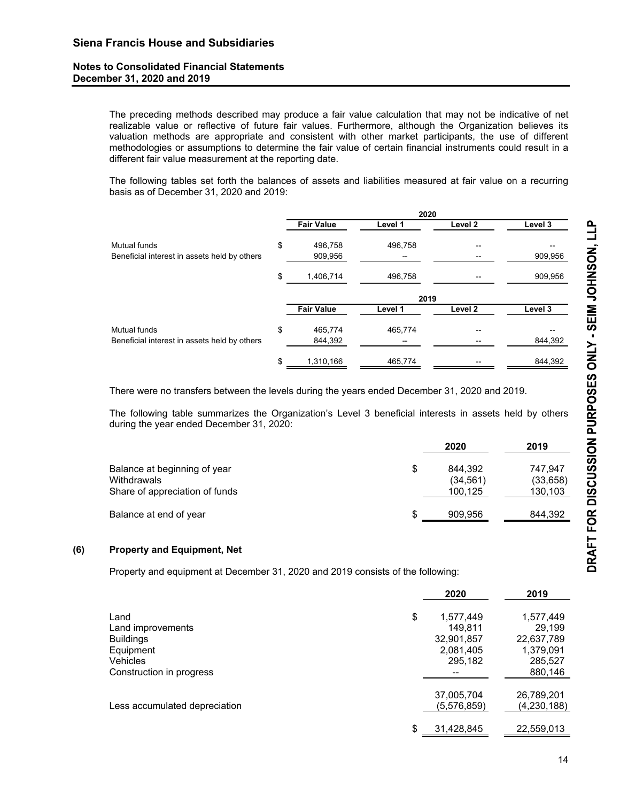The preceding methods described may produce a fair value calculation that may not be indicative of net realizable value or reflective of future fair values. Furthermore, although the Organization believes its valuation methods are appropriate and consistent with other market participants, the use of different methodologies or assumptions to determine the fair value of certain financial instruments could result in a different fair value measurement at the reporting date.

The following tables set forth the balances of assets and liabilities measured at fair value on a recurring basis as of December 31, 2020 and 2019:

|                                              | 2020              |         |                    |         |  |
|----------------------------------------------|-------------------|---------|--------------------|---------|--|
|                                              | <b>Fair Value</b> | Level 1 | Level 2            | Level 3 |  |
| Mutual funds                                 | \$<br>496,758     | 496,758 |                    |         |  |
| Beneficial interest in assets held by others | 909,956           |         |                    | 909,956 |  |
|                                              | \$<br>1,406,714   | 496,758 |                    | 909,956 |  |
|                                              |                   | 2019    |                    |         |  |
|                                              | <b>Fair Value</b> | Level 1 | Level <sub>2</sub> | Level 3 |  |
| Mutual funds                                 | \$<br>465,774     | 465,774 |                    |         |  |
| Beneficial interest in assets held by others | 844,392           |         |                    | 844,392 |  |
|                                              | \$<br>1,310,166   | 465,774 |                    | 844,392 |  |

There were no transfers between the levels during the years ended December 31, 2020 and 2019.

The following table summarizes the Organization's Level 3 beneficial interests in assets held by others during the year ended December 31, 2020:

|                                                                               |    | 2020                            | 2019                            |
|-------------------------------------------------------------------------------|----|---------------------------------|---------------------------------|
| Balance at beginning of year<br>Withdrawals<br>Share of appreciation of funds | \$ | 844.392<br>(34, 561)<br>100,125 | 747.947<br>(33, 658)<br>130,103 |
| Balance at end of year                                                        | S  | 909,956                         | 844,392                         |

#### **(6) Property and Equipment, Net**

Property and equipment at December 31, 2020 and 2019 consists of the following:

|                               | 2020             | 2019        |
|-------------------------------|------------------|-------------|
| Land                          | \$<br>1,577,449  | 1,577,449   |
| Land improvements             | 149.811          | 29,199      |
| <b>Buildings</b>              | 32,901,857       | 22,637,789  |
| Equipment                     | 2,081,405        | 1,379,091   |
| <b>Vehicles</b>               | 295,182          | 285,527     |
| Construction in progress      |                  | 880,146     |
|                               | 37,005,704       | 26,789,201  |
| Less accumulated depreciation | (5,576,859)      | (4,230,188) |
|                               | \$<br>31,428,845 | 22,559,013  |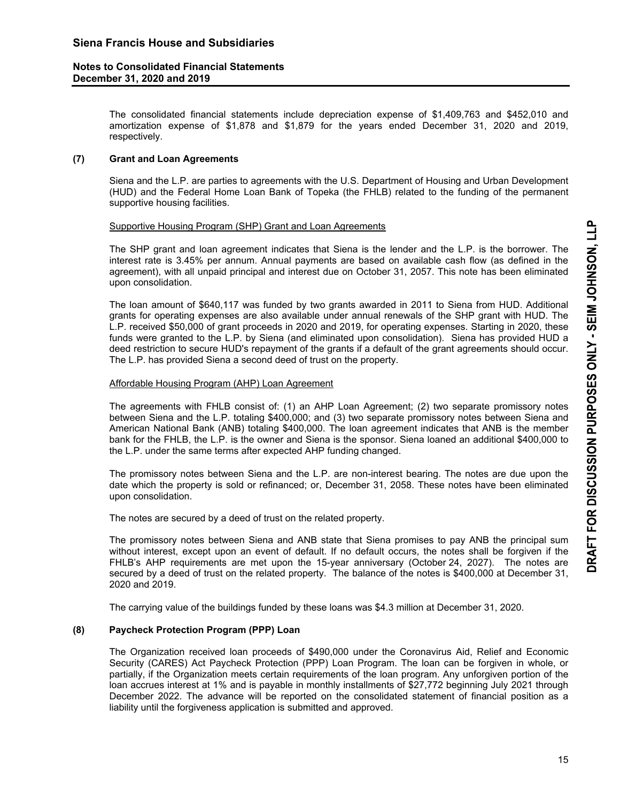The consolidated financial statements include depreciation expense of \$1,409,763 and \$452,010 and amortization expense of \$1,878 and \$1,879 for the years ended December 31, 2020 and 2019, respectively.

# **(7) Grant and Loan Agreements**

Siena and the L.P. are parties to agreements with the U.S. Department of Housing and Urban Development (HUD) and the Federal Home Loan Bank of Topeka (the FHLB) related to the funding of the permanent supportive housing facilities.

#### Supportive Housing Program (SHP) Grant and Loan Agreements

 The SHP grant and loan agreement indicates that Siena is the lender and the L.P. is the borrower. The interest rate is 3.45% per annum. Annual payments are based on available cash flow (as defined in the agreement), with all unpaid principal and interest due on October 31, 2057. This note has been eliminated upon consolidation.

 The loan amount of \$640,117 was funded by two grants awarded in 2011 to Siena from HUD. Additional grants for operating expenses are also available under annual renewals of the SHP grant with HUD. The L.P. received \$50,000 of grant proceeds in 2020 and 2019, for operating expenses. Starting in 2020, these funds were granted to the L.P. by Siena (and eliminated upon consolidation). Siena has provided HUD a deed restriction to secure HUD's repayment of the grants if a default of the grant agreements should occur. The L.P. has provided Siena a second deed of trust on the property.

### Affordable Housing Program (AHP) Loan Agreement

 The agreements with FHLB consist of: (1) an AHP Loan Agreement; (2) two separate promissory notes between Siena and the L.P. totaling \$400,000; and (3) two separate promissory notes between Siena and American National Bank (ANB) totaling \$400,000. The loan agreement indicates that ANB is the member bank for the FHLB, the L.P. is the owner and Siena is the sponsor. Siena loaned an additional \$400,000 to the L.P. under the same terms after expected AHP funding changed.

 The promissory notes between Siena and the L.P. are non-interest bearing. The notes are due upon the date which the property is sold or refinanced; or, December 31, 2058. These notes have been eliminated upon consolidation.

The notes are secured by a deed of trust on the related property.

 The promissory notes between Siena and ANB state that Siena promises to pay ANB the principal sum without interest, except upon an event of default. If no default occurs, the notes shall be forgiven if the FHLB's AHP requirements are met upon the 15-year anniversary (October 24, 2027). The notes are secured by a deed of trust on the related property. The balance of the notes is \$400,000 at December 31, 2020 and 2019.

The carrying value of the buildings funded by these loans was \$4.3 million at December 31, 2020.

# **(8) Paycheck Protection Program (PPP) Loan**

The Organization received loan proceeds of \$490,000 under the Coronavirus Aid, Relief and Economic Security (CARES) Act Paycheck Protection (PPP) Loan Program. The loan can be forgiven in whole, or partially, if the Organization meets certain requirements of the loan program. Any unforgiven portion of the loan accrues interest at 1% and is payable in monthly installments of \$27,772 beginning July 2021 through December 2022. The advance will be reported on the consolidated statement of financial position as a liability until the forgiveness application is submitted and approved.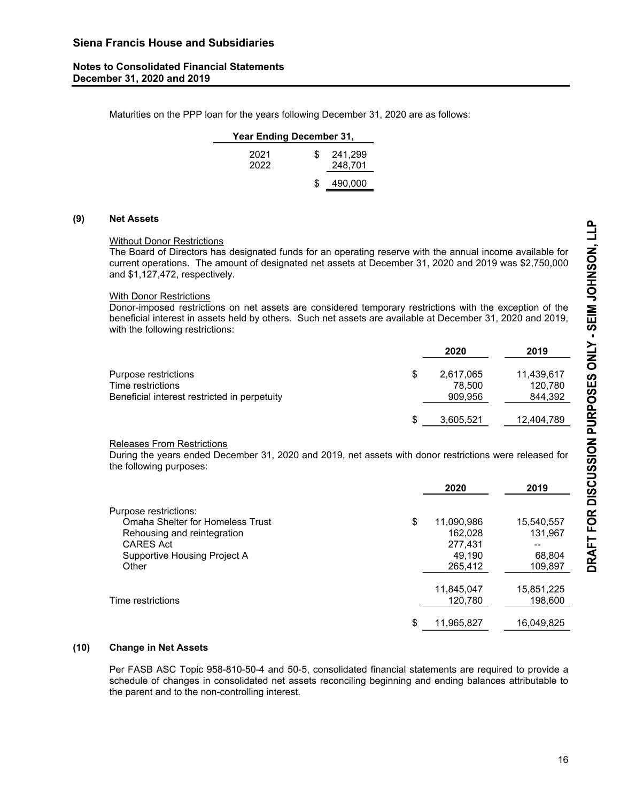Maturities on the PPP loan for the years following December 31, 2020 are as follows:

| Year Ending December 31, |     |                    |  |  |  |
|--------------------------|-----|--------------------|--|--|--|
| 2021<br>2022             | \$. | 241,299<br>248,701 |  |  |  |
|                          |     | 490,000            |  |  |  |

#### **(9) Net Assets**

#### Without Donor Restrictions

 The Board of Directors has designated funds for an operating reserve with the annual income available for current operations. The amount of designated net assets at December 31, 2020 and 2019 was \$2,750,000 and \$1,127,472, respectively.

#### With Donor Restrictions

 Donor-imposed restrictions on net assets are considered temporary restrictions with the exception of the beneficial interest in assets held by others. Such net assets are available at December 31, 2020 and 2019, with the following restrictions:

|                                                                                           |    | 2020                           | 2019                             |
|-------------------------------------------------------------------------------------------|----|--------------------------------|----------------------------------|
| Purpose restrictions<br>Time restrictions<br>Beneficial interest restricted in perpetuity | \$ | 2,617,065<br>78.500<br>909,956 | 11,439,617<br>120.780<br>844,392 |
|                                                                                           | S  | 3,605,521                      | 12,404,789                       |

#### Releases From Restrictions

 During the years ended December 31, 2020 and 2019, net assets with donor restrictions were released for the following purposes:

|                                                                                                                                                              | 2020                                                        | 2019                                             |
|--------------------------------------------------------------------------------------------------------------------------------------------------------------|-------------------------------------------------------------|--------------------------------------------------|
| Purpose restrictions:<br><b>Omaha Shelter for Homeless Trust</b><br>Rehousing and reintegration<br><b>CARES Act</b><br>Supportive Housing Project A<br>Other | \$<br>11,090,986<br>162.028<br>277,431<br>49.190<br>265,412 | 15,540,557<br>131,967<br>--<br>68,804<br>109,897 |
| Time restrictions                                                                                                                                            | \$<br>11,845,047<br>120,780<br>11,965,827                   | 15,851,225<br>198,600<br>16,049,825              |

# **(10) Change in Net Assets**

Per FASB ASC Topic 958-810-50-4 and 50-5, consolidated financial statements are required to provide a schedule of changes in consolidated net assets reconciling beginning and ending balances attributable to the parent and to the non-controlling interest.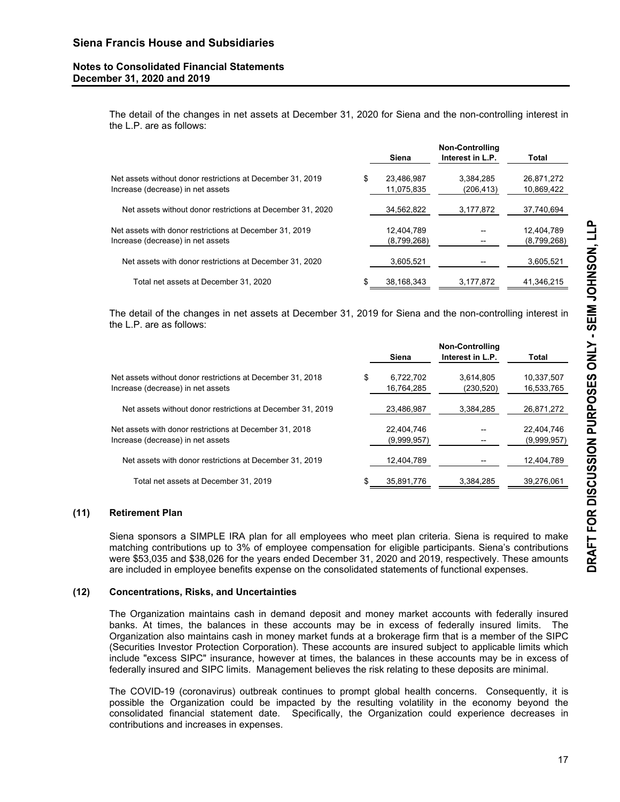The detail of the changes in net assets at December 31, 2020 for Siena and the non-controlling interest in the L.P. are as follows:

|                                                                                                 |   | Siena                    | <b>Non-Controlling</b><br>Interest in L.P. | Total                    |
|-------------------------------------------------------------------------------------------------|---|--------------------------|--------------------------------------------|--------------------------|
| Net assets without donor restrictions at December 31, 2019<br>Increase (decrease) in net assets | S | 23,486,987<br>11,075,835 | 3,384,285<br>(206, 413)                    | 26,871,272<br>10,869,422 |
| Net assets without donor restrictions at December 31, 2020                                      |   | 34,562,822               | 3,177,872                                  | 37,740,694               |
| Net assets with donor restrictions at December 31, 2019                                         |   | 12,404,789               |                                            | 12,404,789               |
| Increase (decrease) in net assets<br>Net assets with donor restrictions at December 31, 2020    |   | (8,799,268)<br>3,605,521 |                                            | (8,799,268)<br>3,605,521 |
| Total net assets at December 31, 2020                                                           | S | 38,168,343               | 3,177,872                                  | 41,346,215               |

 The detail of the changes in net assets at December 31, 2019 for Siena and the non-controlling interest in the L.P. are as follows:

|                                                            | Siena           | <b>Non-Controlling</b><br>Interest in L.P. | Total       |
|------------------------------------------------------------|-----------------|--------------------------------------------|-------------|
| Net assets without donor restrictions at December 31, 2018 | \$<br>6,722,702 | 3,614,805                                  | 10,337,507  |
| Increase (decrease) in net assets                          | 16,764,285      | (230, 520)                                 | 16,533,765  |
| Net assets without donor restrictions at December 31, 2019 | 23,486,987      | 3,384,285                                  | 26,871,272  |
| Net assets with donor restrictions at December 31, 2018    | 22.404.746      |                                            | 22,404,746  |
| Increase (decrease) in net assets                          | (9,999,957)     |                                            | (9,999,957) |
| Net assets with donor restrictions at December 31, 2019    | 12,404,789      |                                            | 12,404,789  |
| Total net assets at December 31, 2019                      | 35,891,776      | 3,384,285                                  | 39,276,061  |

# **(11) Retirement Plan**

 Siena sponsors a SIMPLE IRA plan for all employees who meet plan criteria. Siena is required to make matching contributions up to 3% of employee compensation for eligible participants. Siena's contributions were \$53,035 and \$38,026 for the years ended December 31, 2020 and 2019, respectively. These amounts are included in employee benefits expense on the consolidated statements of functional expenses.

#### **(12) Concentrations, Risks, and Uncertainties**

The Organization maintains cash in demand deposit and money market accounts with federally insured banks. At times, the balances in these accounts may be in excess of federally insured limits. The Organization also maintains cash in money market funds at a brokerage firm that is a member of the SIPC (Securities Investor Protection Corporation). These accounts are insured subject to applicable limits which include "excess SIPC" insurance, however at times, the balances in these accounts may be in excess of federally insured and SIPC limits. Management believes the risk relating to these deposits are minimal.

 The COVID-19 (coronavirus) outbreak continues to prompt global health concerns. Consequently, it is possible the Organization could be impacted by the resulting volatility in the economy beyond the consolidated financial statement date. Specifically, the Organization could experience decreases in contributions and increases in expenses.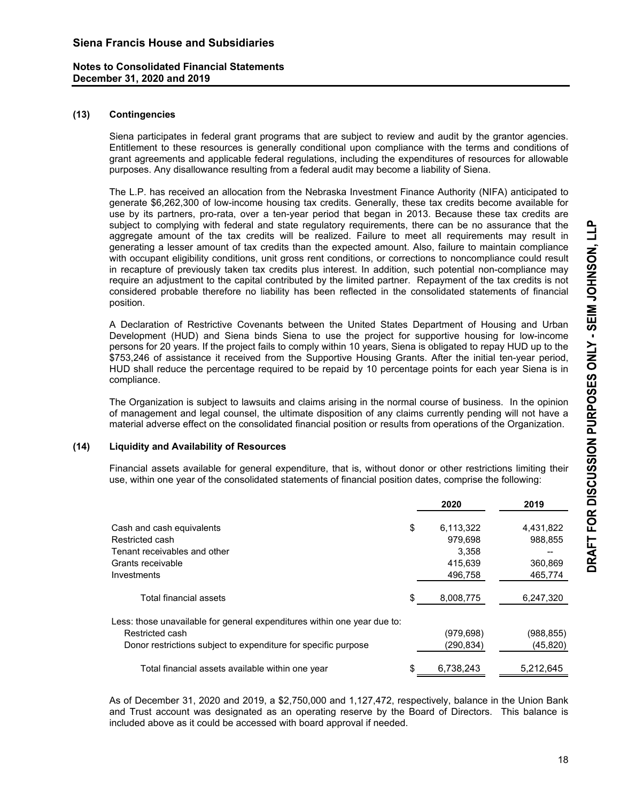#### **(13) Contingencies**

Siena participates in federal grant programs that are subject to review and audit by the grantor agencies. Entitlement to these resources is generally conditional upon compliance with the terms and conditions of grant agreements and applicable federal regulations, including the expenditures of resources for allowable purposes. Any disallowance resulting from a federal audit may become a liability of Siena.

 The L.P. has received an allocation from the Nebraska Investment Finance Authority (NIFA) anticipated to generate \$6,262,300 of low-income housing tax credits. Generally, these tax credits become available for use by its partners, pro-rata, over a ten-year period that began in 2013. Because these tax credits are subject to complying with federal and state regulatory requirements, there can be no assurance that the aggregate amount of the tax credits will be realized. Failure to meet all requirements may result in generating a lesser amount of tax credits than the expected amount. Also, failure to maintain compliance with occupant eligibility conditions, unit gross rent conditions, or corrections to noncompliance could result in recapture of previously taken tax credits plus interest. In addition, such potential non-compliance may require an adjustment to the capital contributed by the limited partner. Repayment of the tax credits is not considered probable therefore no liability has been reflected in the consolidated statements of financial position.

 A Declaration of Restrictive Covenants between the United States Department of Housing and Urban Development (HUD) and Siena binds Siena to use the project for supportive housing for low-income persons for 20 years. If the project fails to comply within 10 years, Siena is obligated to repay HUD up to the \$753,246 of assistance it received from the Supportive Housing Grants. After the initial ten-year period, HUD shall reduce the percentage required to be repaid by 10 percentage points for each year Siena is in compliance.

The Organization is subject to lawsuits and claims arising in the normal course of business. In the opinion of management and legal counsel, the ultimate disposition of any claims currently pending will not have a material adverse effect on the consolidated financial position or results from operations of the Organization.

# **(14) Liquidity and Availability of Resources**

 Financial assets available for general expenditure, that is, without donor or other restrictions limiting their use, within one year of the consolidated statements of financial position dates, comprise the following:

|                                                                          |    | 2020       | 2019      |
|--------------------------------------------------------------------------|----|------------|-----------|
| Cash and cash equivalents                                                | \$ | 6,113,322  | 4,431,822 |
| Restricted cash                                                          |    | 979.698    | 988,855   |
| Tenant receivables and other                                             |    | 3.358      |           |
| Grants receivable                                                        |    | 415,639    | 360,869   |
| Investments                                                              |    | 496,758    | 465,774   |
| Total financial assets                                                   |    | 8,008,775  | 6,247,320 |
| Less: those unavailable for general expenditures within one year due to: |    |            |           |
| Restricted cash                                                          |    | (979, 698) | (988,855) |
| Donor restrictions subject to expenditure for specific purpose           |    | (290,834)  | (45, 820) |
| Total financial assets available within one year                         | S  | 6.738.243  | 5.212.645 |

 As of December 31, 2020 and 2019, a \$2,750,000 and 1,127,472, respectively, balance in the Union Bank and Trust account was designated as an operating reserve by the Board of Directors. This balance is included above as it could be accessed with board approval if needed.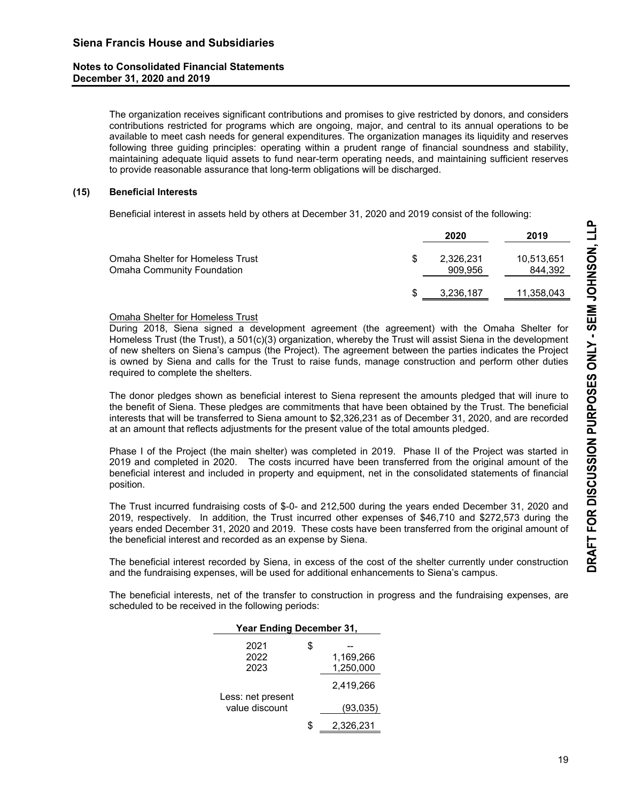The organization receives significant contributions and promises to give restricted by donors, and considers contributions restricted for programs which are ongoing, major, and central to its annual operations to be available to meet cash needs for general expenditures. The organization manages its liquidity and reserves following three guiding principles: operating within a prudent range of financial soundness and stability, maintaining adequate liquid assets to fund near-term operating needs, and maintaining sufficient reserves to provide reasonable assurance that long-term obligations will be discharged.

# **(15) Beneficial Interests**

Beneficial interest in assets held by others at December 31, 2020 and 2019 consist of the following:

|                                                                | 2020                 | 2019                  |
|----------------------------------------------------------------|----------------------|-----------------------|
| Omaha Shelter for Homeless Trust<br>Omaha Community Foundation | 2,326,231<br>909,956 | 10,513,651<br>844,392 |
|                                                                | 3,236,187            | 11,358,043            |

# Omaha Shelter for Homeless Trust

 During 2018, Siena signed a development agreement (the agreement) with the Omaha Shelter for Homeless Trust (the Trust), a 501(c)(3) organization, whereby the Trust will assist Siena in the development of new shelters on Siena's campus (the Project). The agreement between the parties indicates the Project is owned by Siena and calls for the Trust to raise funds, manage construction and perform other duties required to complete the shelters.

 The donor pledges shown as beneficial interest to Siena represent the amounts pledged that will inure to the benefit of Siena. These pledges are commitments that have been obtained by the Trust. The beneficial interests that will be transferred to Siena amount to \$2,326,231 as of December 31, 2020, and are recorded at an amount that reflects adjustments for the present value of the total amounts pledged.

 Phase I of the Project (the main shelter) was completed in 2019. Phase II of the Project was started in 2019 and completed in 2020. The costs incurred have been transferred from the original amount of the beneficial interest and included in property and equipment, net in the consolidated statements of financial position.

 The Trust incurred fundraising costs of \$-0- and 212,500 during the years ended December 31, 2020 and 2019, respectively. In addition, the Trust incurred other expenses of \$46,710 and \$272,573 during the years ended December 31, 2020 and 2019. These costs have been transferred from the original amount of the beneficial interest and recorded as an expense by Siena.

 The beneficial interest recorded by Siena, in excess of the cost of the shelter currently under construction and the fundraising expenses, will be used for additional enhancements to Siena's campus.

 The beneficial interests, net of the transfer to construction in progress and the fundraising expenses, are scheduled to be received in the following periods:

| <b>Year Ending December 31,</b> |    |           |  |  |
|---------------------------------|----|-----------|--|--|
| 2021                            | \$ |           |  |  |
| 2022                            |    | 1,169,266 |  |  |
| 2023                            |    | 1,250,000 |  |  |
|                                 |    | 2,419,266 |  |  |
| Less: net present               |    |           |  |  |
| value discount                  |    | (93,035)  |  |  |
|                                 | S. | 2.326.231 |  |  |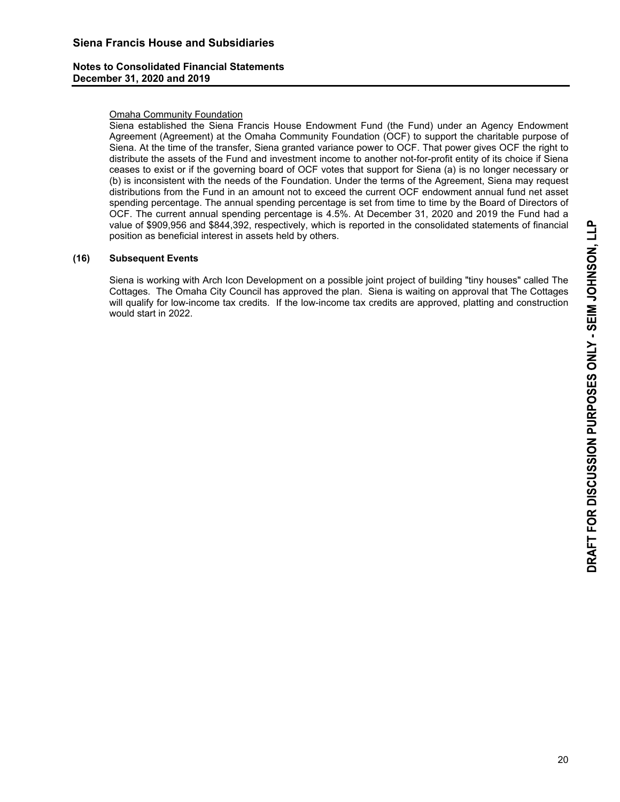#### Omaha Community Foundation

 Siena established the Siena Francis House Endowment Fund (the Fund) under an Agency Endowment Agreement (Agreement) at the Omaha Community Foundation (OCF) to support the charitable purpose of Siena. At the time of the transfer, Siena granted variance power to OCF. That power gives OCF the right to distribute the assets of the Fund and investment income to another not-for-profit entity of its choice if Siena ceases to exist or if the governing board of OCF votes that support for Siena (a) is no longer necessary or (b) is inconsistent with the needs of the Foundation. Under the terms of the Agreement, Siena may request distributions from the Fund in an amount not to exceed the current OCF endowment annual fund net asset spending percentage. The annual spending percentage is set from time to time by the Board of Directors of OCF. The current annual spending percentage is 4.5%. At December 31, 2020 and 2019 the Fund had a value of \$909,956 and \$844,392, respectively, which is reported in the consolidated statements of financial position as beneficial interest in assets held by others.

#### **(16) Subsequent Events**

 Siena is working with Arch Icon Development on a possible joint project of building "tiny houses" called The Cottages. The Omaha City Council has approved the plan. Siena is waiting on approval that The Cottages will qualify for low-income tax credits. If the low-income tax credits are approved, platting and construction would start in 2022.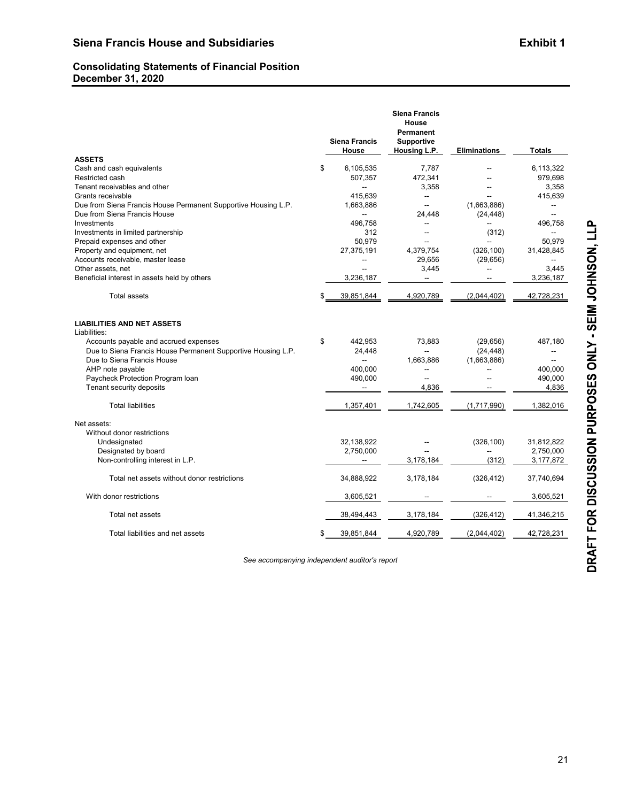# **Consolidating Statements of Financial Position December 31, 2020**

|                                                                | <b>Siena Francis</b><br>House | <b>Siena Francis</b><br>House<br>Permanent<br><b>Supportive</b><br>Housing L.P. | <b>Eliminations</b> | <b>Totals</b> |
|----------------------------------------------------------------|-------------------------------|---------------------------------------------------------------------------------|---------------------|---------------|
| <b>ASSETS</b>                                                  |                               |                                                                                 |                     |               |
| Cash and cash equivalents                                      | \$<br>6,105,535               | 7,787                                                                           |                     | 6,113,322     |
| Restricted cash                                                | 507,357                       | 472,341                                                                         |                     | 979,698       |
| Tenant receivables and other                                   |                               | 3,358                                                                           |                     | 3,358         |
| Grants receivable                                              | 415.639                       | ÷.                                                                              |                     | 415,639       |
| Due from Siena Francis House Permanent Supportive Housing L.P. | 1,663,886                     | $\overline{\phantom{a}}$                                                        | (1,663,886)         |               |
| Due from Siena Francis House                                   | -−                            | 24,448                                                                          | (24, 448)           |               |
| Investments                                                    | 496.758                       | $\overline{\phantom{a}}$                                                        | --                  | 496,758       |
| Investments in limited partnership                             | 312                           | --                                                                              | (312)               |               |
| Prepaid expenses and other                                     | 50.979                        |                                                                                 |                     | 50.979        |
| Property and equipment, net                                    | 27,375,191                    | 4,379,754                                                                       | (326, 100)          | 31,428,845    |
| Accounts receivable, master lease                              | --                            | 29,656                                                                          | (29, 656)           | --            |
| Other assets, net                                              |                               | 3,445                                                                           | --                  | 3,445         |
| Beneficial interest in assets held by others                   | 3,236,187                     | $\sim$                                                                          |                     | 3,236,187     |
| <b>Total assets</b>                                            | \$<br>39,851,844              | 4.920.789                                                                       | (2,044,402)         | 42,728,231    |
| <b>LIABILITIES AND NET ASSETS</b><br>Liabilities:              |                               |                                                                                 |                     |               |
| Accounts payable and accrued expenses                          | \$<br>442,953                 | 73,883                                                                          | (29, 656)           | 487,180       |
| Due to Siena Francis House Permanent Supportive Housing L.P.   | 24,448                        | $\sim$                                                                          | (24, 448)           | --            |
| Due to Siena Francis House                                     | $\overline{a}$                | 1,663,886                                                                       | (1,663,886)         | --            |
| AHP note payable                                               | 400,000                       |                                                                                 |                     | 400,000       |
| Paycheck Protection Program Ioan                               | 490,000                       | ÷.                                                                              | --                  | 490,000       |
| Tenant security deposits                                       |                               | 4,836                                                                           |                     | 4,836         |
| <b>Total liabilities</b>                                       | 1,357,401                     | 1,742,605                                                                       | (1,717,990)         | 1,382,016     |
| Net assets:                                                    |                               |                                                                                 |                     |               |
| Without donor restrictions                                     |                               |                                                                                 |                     |               |
| Undesignated                                                   | 32,138,922                    |                                                                                 | (326, 100)          | 31,812,822    |
| Designated by board                                            | 2,750,000                     |                                                                                 |                     | 2,750,000     |
| Non-controlling interest in L.P.                               | $\overline{a}$                | 3,178,184                                                                       | (312)               | 3,177,872     |
| Total net assets without donor restrictions                    | 34,888,922                    | 3,178,184                                                                       | (326, 412)          | 37,740,694    |
| With donor restrictions                                        | 3,605,521                     |                                                                                 |                     | 3,605,521     |
| Total net assets                                               | 38,494,443                    | 3,178,184                                                                       | (326, 412)          | 41,346,215    |
| Total liabilities and net assets                               | \$<br>39,851,844              | 4,920,789                                                                       | (2,044,402)         | 42,728,231    |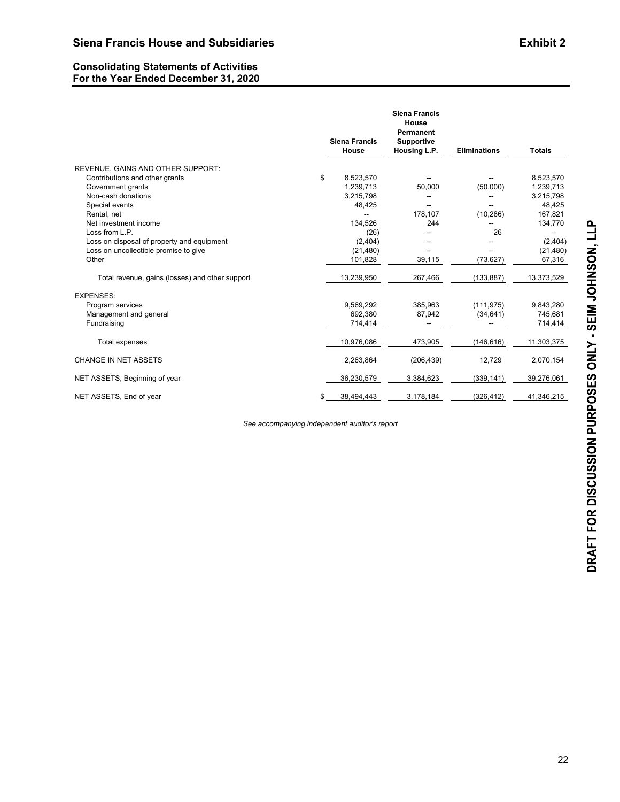#### **Consolidating Statements of Activities For the Year Ended December 31, 2020**

|                                                 | <b>Siena Francis</b><br>House | <b>Siena Francis</b><br>House<br>Permanent<br><b>Supportive</b><br>Housing L.P. | <b>Eliminations</b> | <b>Totals</b> |
|-------------------------------------------------|-------------------------------|---------------------------------------------------------------------------------|---------------------|---------------|
| REVENUE, GAINS AND OTHER SUPPORT:               |                               |                                                                                 |                     |               |
| Contributions and other grants                  | \$<br>8.523.570               |                                                                                 |                     | 8,523,570     |
| Government grants                               | 1,239,713                     | 50,000                                                                          | (50,000)            | 1,239,713     |
| Non-cash donations                              | 3,215,798                     |                                                                                 |                     | 3,215,798     |
| Special events                                  | 48,425                        |                                                                                 |                     | 48,425        |
| Rental, net                                     |                               | 178,107                                                                         | (10, 286)           | 167,821       |
| Net investment income                           | 134,526                       | 244                                                                             |                     | 134,770       |
| Loss from L.P.                                  | (26)                          |                                                                                 | 26                  |               |
| Loss on disposal of property and equipment      | (2,404)                       |                                                                                 |                     | (2,404)       |
| Loss on uncollectible promise to give           | (21, 480)                     |                                                                                 |                     | (21, 480)     |
| Other                                           | 101,828                       | 39,115                                                                          | (73, 627)           | 67,316        |
| Total revenue, gains (losses) and other support | 13,239,950                    | 267,466                                                                         | (133, 887)          | 13,373,529    |
| <b>EXPENSES:</b>                                |                               |                                                                                 |                     |               |
| Program services                                | 9,569,292                     | 385.963                                                                         | (111, 975)          | 9,843,280     |
| Management and general                          | 692,380                       | 87,942                                                                          | (34, 641)           | 745,681       |
| Fundraising                                     | 714,414                       |                                                                                 |                     | 714,414       |
| Total expenses                                  | 10,976,086                    | 473,905                                                                         | (146, 616)          | 11,303,375    |
| CHANGE IN NET ASSETS                            | 2,263,864                     | (206, 439)                                                                      | 12,729              | 2,070,154     |
| NET ASSETS, Beginning of year                   | 36,230,579                    | 3,384,623                                                                       | (339, 141)          | 39,276,061    |
| NET ASSETS, End of year                         | \$<br>38,494,443              | 3,178,184                                                                       | (326, 412)          | 41,346,215    |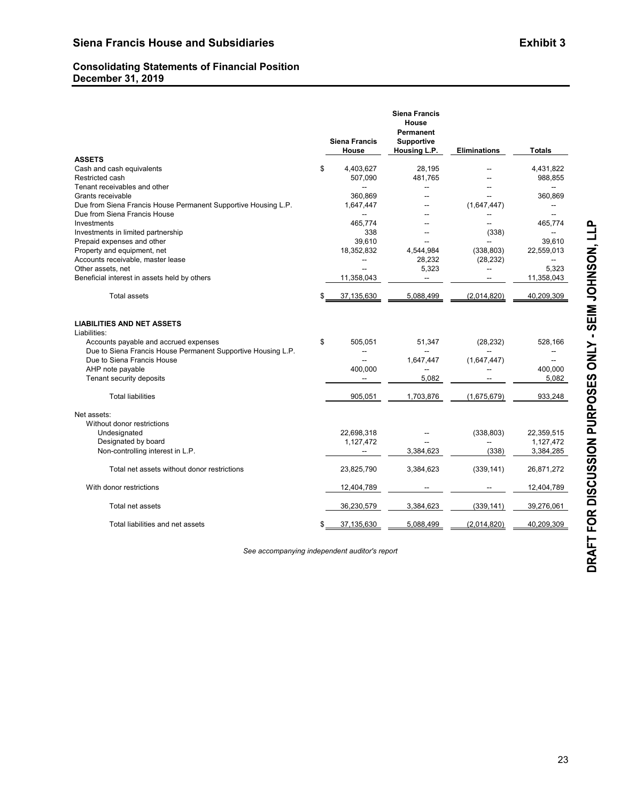# **Consolidating Statements of Financial Position December 31, 2019**

|                                                                                                       |    | <b>Siena Francis</b><br>House | <b>Siena Francis</b><br>House<br>Permanent<br><b>Supportive</b><br>Housing L.P. | <b>Eliminations</b> | <b>Totals</b> |
|-------------------------------------------------------------------------------------------------------|----|-------------------------------|---------------------------------------------------------------------------------|---------------------|---------------|
| <b>ASSETS</b>                                                                                         |    |                               |                                                                                 |                     |               |
| Cash and cash equivalents                                                                             | \$ | 4,403,627                     | 28,195                                                                          |                     | 4,431,822     |
| Restricted cash                                                                                       |    | 507,090                       | 481,765                                                                         |                     | 988,855       |
| Tenant receivables and other                                                                          |    | --                            | --                                                                              |                     | --            |
| Grants receivable                                                                                     |    | 360,869                       |                                                                                 | --                  | 360,869       |
| Due from Siena Francis House Permanent Supportive Housing L.P.                                        |    | 1,647,447                     | --                                                                              | (1,647,447)         |               |
| Due from Siena Francis House                                                                          |    | --                            |                                                                                 |                     | --            |
| Investments                                                                                           |    | 465,774                       | --                                                                              | --                  | 465,774       |
| Investments in limited partnership                                                                    |    | 338                           |                                                                                 | (338)               | --            |
| Prepaid expenses and other                                                                            |    | 39.610                        |                                                                                 |                     | 39.610        |
| Property and equipment, net                                                                           |    | 18.352.832                    | 4.544.984                                                                       | (338, 803)          | 22,559,013    |
| Accounts receivable, master lease                                                                     |    |                               | 28,232                                                                          | (28, 232)           |               |
| Other assets, net                                                                                     |    | --                            | 5,323                                                                           | --                  | 5,323         |
| Beneficial interest in assets held by others                                                          |    | 11,358,043                    |                                                                                 |                     | 11,358,043    |
| <b>Total assets</b>                                                                                   |    | 37,135,630                    | 5,088,499                                                                       | (2,014,820)         | 40,209,309    |
| <b>LIABILITIES AND NET ASSETS</b><br>Liabilities:                                                     |    |                               |                                                                                 |                     |               |
| Accounts payable and accrued expenses<br>Due to Siena Francis House Permanent Supportive Housing L.P. | \$ | 505,051                       | 51,347<br>Ξ.                                                                    | (28, 232)           | 528,166       |
| Due to Siena Francis House                                                                            |    |                               | 1,647,447                                                                       | (1,647,447)         |               |
| AHP note payable                                                                                      |    | 400,000                       | $\overline{a}$                                                                  |                     | 400,000       |
| Tenant security deposits                                                                              |    |                               | 5.082                                                                           |                     | 5,082         |
|                                                                                                       |    |                               |                                                                                 |                     |               |
| <b>Total liabilities</b>                                                                              |    | 905,051                       | 1,703,876                                                                       | (1,675,679)         | 933,248       |
| Net assets:                                                                                           |    |                               |                                                                                 |                     |               |
| Without donor restrictions                                                                            |    |                               |                                                                                 |                     |               |
| Undesignated                                                                                          |    | 22,698,318                    |                                                                                 | (338, 803)          | 22,359,515    |
| Designated by board                                                                                   |    | 1,127,472                     |                                                                                 |                     | 1,127,472     |
| Non-controlling interest in L.P.                                                                      |    |                               | 3,384,623                                                                       | (338)               | 3,384,285     |
| Total net assets without donor restrictions                                                           |    | 23,825,790                    | 3,384,623                                                                       | (339, 141)          | 26,871,272    |
| With donor restrictions                                                                               |    | 12,404,789                    |                                                                                 |                     | 12,404,789    |
| Total net assets                                                                                      |    | 36,230,579                    | 3,384,623                                                                       | (339, 141)          | 39,276,061    |
| Total liabilities and net assets                                                                      | S  | 37,135,630                    | 5,088,499                                                                       | (2,014,820)         | 40,209,309    |